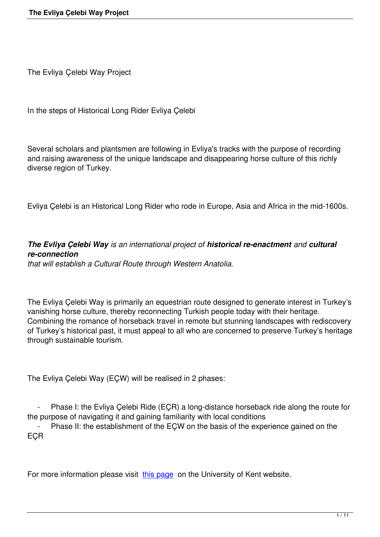The Evliya Çelebi Way Project

In the steps of Historical Long Rider Evliya Çelebi

Several scholars and plantsmen are following in Evliya's tracks with the purpose of recording and raising awareness of the unique landscape and disappearing horse culture of this richly diverse region of Turkey.

Evliya Çelebi is an Historical Long Rider who rode in Europe, Asia and Africa in the mid-1600s.

# *The Evliya Çelebi Way is an international project of historical re-enactment and cultural re-connection*

*that will establish a Cultural Route through Western Anatolia.*

The Evliya Çelebi Way is primarily an equestrian route designed to generate interest in Turkey's vanishing horse culture, thereby reconnecting Turkish people today with their heritage. Combining the romance of horseback travel in remote but stunning landscapes with rediscovery of Turkey's historical past, it must appeal to all who are concerned to preserve Turkey's heritage through sustainable tourism.

The Evliya Çelebi Way (EÇW) will be realised in 2 phases:

Phase I: the Evliya Çelebi Ride (EÇR) a long-distance horseback ride along the route for the purpose of navigating it and gaining familiarity with local conditions

Phase II: the establishment of the EÇW on the basis of the experience gained on the EÇR

For more information please visit this page on the University of Kent website.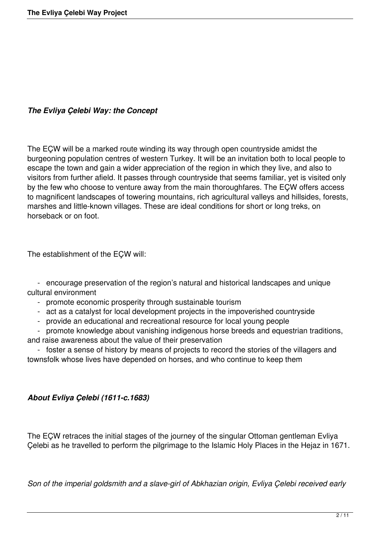### *The Evliya Çelebi Way: the Concept*

The EÇW will be a marked route winding its way through open countryside amidst the burgeoning population centres of western Turkey. It will be an invitation both to local people to escape the town and gain a wider appreciation of the region in which they live, and also to visitors from further afield. It passes through countryside that seems familiar, yet is visited only by the few who choose to venture away from the main thoroughfares. The EÇW offers access to magnificent landscapes of towering mountains, rich agricultural valleys and hillsides, forests, marshes and little-known villages. These are ideal conditions for short or long treks, on horseback or on foot.

The establishment of the EÇW will:

 - encourage preservation of the region's natural and historical landscapes and unique cultural environment

- promote economic prosperity through sustainable tourism
- act as a catalyst for local development projects in the impoverished countryside
- provide an educational and recreational resource for local young people

- promote knowledge about vanishing indigenous horse breeds and equestrian traditions, and raise awareness about the value of their preservation

 - foster a sense of history by means of projects to record the stories of the villagers and townsfolk whose lives have depended on horses, and who continue to keep them

#### *About Evliya Çelebi (1611-c.1683)*

The EÇW retraces the initial stages of the journey of the singular Ottoman gentleman Evliya Çelebi as he travelled to perform the pilgrimage to the Islamic Holy Places in the Hejaz in 1671.

*Son of the imperial goldsmith and a slave-girl of Abkhazian origin, Evliya Çelebi received early*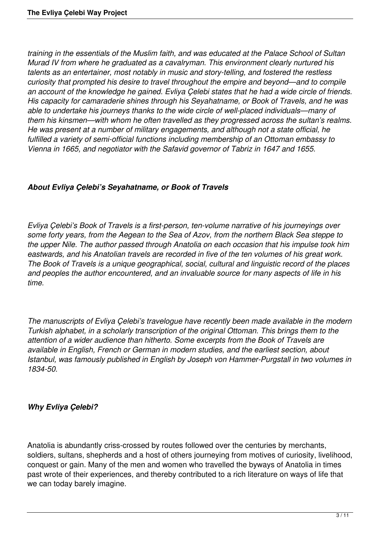*training in the essentials of the Muslim faith, and was educated at the Palace School of Sultan Murad IV from where he graduated as a cavalryman. This environment clearly nurtured his talents as an entertainer, most notably in music and story-telling, and fostered the restless curiosity that prompted his desire to travel throughout the empire and beyond—and to compile an account of the knowledge he gained. Evliya Çelebi states that he had a wide circle of friends. His capacity for camaraderie shines through his Seyahatname, or Book of Travels, and he was able to undertake his journeys thanks to the wide circle of well-placed individuals—many of them his kinsmen—with whom he often travelled as they progressed across the sultan's realms. He was present at a number of military engagements, and although not a state official, he fulfilled a variety of semi-official functions including membership of an Ottoman embassy to Vienna in 1665, and negotiator with the Safavid governor of Tabriz in 1647 and 1655.*

### *About Evliya Çelebi's Seyahatname, or Book of Travels*

*Evliya Çelebi's Book of Travels is a first-person, ten-volume narrative of his journeyings over some forty years, from the Aegean to the Sea of Azov, from the northern Black Sea steppe to the upper Nile. The author passed through Anatolia on each occasion that his impulse took him eastwards, and his Anatolian travels are recorded in five of the ten volumes of his great work. The Book of Travels is a unique geographical, social, cultural and linguistic record of the places and peoples the author encountered, and an invaluable source for many aspects of life in his time.*

*The manuscripts of Evliya Çelebi's travelogue have recently been made available in the modern Turkish alphabet, in a scholarly transcription of the original Ottoman. This brings them to the attention of a wider audience than hitherto. Some excerpts from the Book of Travels are available in English, French or German in modern studies, and the earliest section, about Istanbul, was famously published in English by Joseph von Hammer-Purgstall in two volumes in 1834-50.*

#### *Why Evliya Çelebi?*

Anatolia is abundantly criss-crossed by routes followed over the centuries by merchants, soldiers, sultans, shepherds and a host of others journeying from motives of curiosity, livelihood, conquest or gain. Many of the men and women who travelled the byways of Anatolia in times past wrote of their experiences, and thereby contributed to a rich literature on ways of life that we can today barely imagine.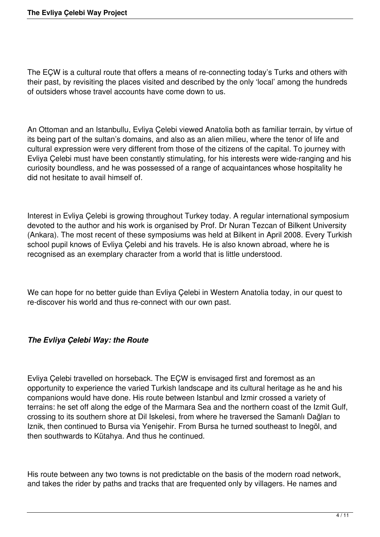The EÇW is a cultural route that offers a means of re-connecting today's Turks and others with their past, by revisiting the places visited and described by the only 'local' among the hundreds of outsiders whose travel accounts have come down to us.

An Ottoman and an Istanbullu, Evliya Çelebi viewed Anatolia both as familiar terrain, by virtue of its being part of the sultan's domains, and also as an alien milieu, where the tenor of life and cultural expression were very different from those of the citizens of the capital. To journey with Evliya Çelebi must have been constantly stimulating, for his interests were wide-ranging and his curiosity boundless, and he was possessed of a range of acquaintances whose hospitality he did not hesitate to avail himself of.

Interest in Evliya Çelebi is growing throughout Turkey today. A regular international symposium devoted to the author and his work is organised by Prof. Dr Nuran Tezcan of Bilkent University (Ankara). The most recent of these symposiums was held at Bilkent in April 2008. Every Turkish school pupil knows of Evliya Çelebi and his travels. He is also known abroad, where he is recognised as an exemplary character from a world that is little understood.

We can hope for no better guide than Evliya Çelebi in Western Anatolia today, in our quest to re-discover his world and thus re-connect with our own past.

# *The Evliya Çelebi Way: the Route*

Evliya Çelebi travelled on horseback. The EÇW is envisaged first and foremost as an opportunity to experience the varied Turkish landscape and its cultural heritage as he and his companions would have done. His route between Istanbul and Izmir crossed a variety of terrains: he set off along the edge of the Marmara Sea and the northern coast of the Izmit Gulf, crossing to its southern shore at Dil Iskelesi, from where he traversed the Samanlı Dağları to Iznik, then continued to Bursa via Yenişehir. From Bursa he turned southeast to Inegöl, and then southwards to Kütahya. And thus he continued.

His route between any two towns is not predictable on the basis of the modern road network, and takes the rider by paths and tracks that are frequented only by villagers. He names and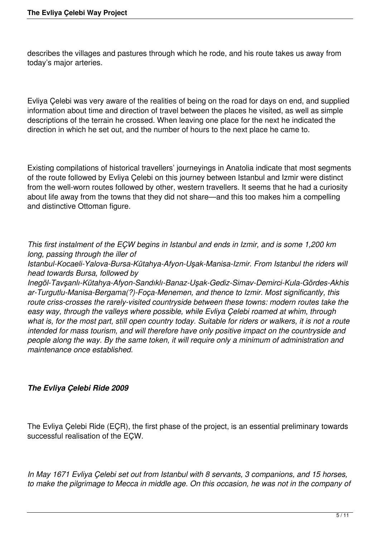describes the villages and pastures through which he rode, and his route takes us away from today's major arteries.

Evliya Çelebi was very aware of the realities of being on the road for days on end, and supplied information about time and direction of travel between the places he visited, as well as simple descriptions of the terrain he crossed. When leaving one place for the next he indicated the direction in which he set out, and the number of hours to the next place he came to.

Existing compilations of historical travellers' journeyings in Anatolia indicate that most segments of the route followed by Evliya Çelebi on this journey between Istanbul and Izmir were distinct from the well-worn routes followed by other, western travellers. It seems that he had a curiosity about life away from the towns that they did not share—and this too makes him a compelling and distinctive Ottoman figure.

*This first instalment of the EÇW begins in Istanbul and ends in Izmir, and is some 1,200 km long, passing through the iller of*

*Istanbul-Kocaeli-Yalova-Bursa-Kütahya-Afyon-Uşak-Manisa-Izmir. From Istanbul the riders will head towards Bursa, followed by*

*Inegöl-Tavşanlı-Kütahya-Afyon-Sandıklı-Banaz-Uşak-Gediz-Simav-Demirci-Kula-Gördes-Akhis ar-Turgutlu-Manisa-Bergama(?)-Foça-Menemen, and thence to Izmir. Most significantly, this route criss-crosses the rarely-visited countryside between these towns: modern routes take the easy way, through the valleys where possible, while Evliya Çelebi roamed at whim, through what is, for the most part, still open country today. Suitable for riders or walkers, it is not a route intended for mass tourism, and will therefore have only positive impact on the countryside and people along the way. By the same token, it will require only a minimum of administration and maintenance once established.*

#### *The Evliya Çelebi Ride 2009*

The Evliya Çelebi Ride (EÇR), the first phase of the project, is an essential preliminary towards successful realisation of the EÇW.

*In May 1671 Evliya Çelebi set out from Istanbul with 8 servants, 3 companions, and 15 horses, to make the pilgrimage to Mecca in middle age. On this occasion, he was not in the company of*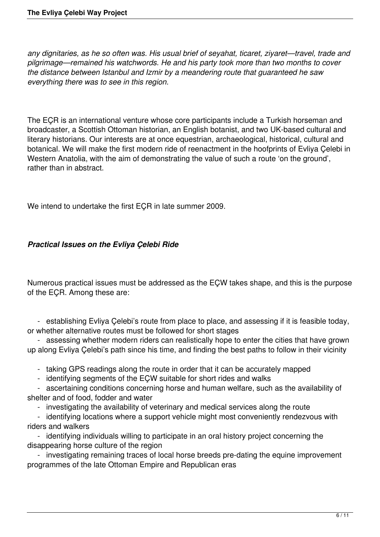*any dignitaries, as he so often was. His usual brief of seyahat, ticaret, ziyaret—travel, trade and pilgrimage—remained his watchwords. He and his party took more than two months to cover the distance between Istanbul and Izmir by a meandering route that guaranteed he saw everything there was to see in this region.*

The EÇR is an international venture whose core participants include a Turkish horseman and broadcaster, a Scottish Ottoman historian, an English botanist, and two UK-based cultural and literary historians. Our interests are at once equestrian, archaeological, historical, cultural and botanical. We will make the first modern ride of reenactment in the hoofprints of Evliya Çelebi in Western Anatolia, with the aim of demonstrating the value of such a route 'on the ground', rather than in abstract.

We intend to undertake the first EÇR in late summer 2009.

# *Practical Issues on the Evliya Çelebi Ride*

Numerous practical issues must be addressed as the EÇW takes shape, and this is the purpose of the EÇR. Among these are:

 - establishing Evliya Çelebi's route from place to place, and assessing if it is feasible today, or whether alternative routes must be followed for short stages

 - assessing whether modern riders can realistically hope to enter the cities that have grown up along Evliya Çelebi's path since his time, and finding the best paths to follow in their vicinity

- taking GPS readings along the route in order that it can be accurately mapped
- identifying segments of the EÇW suitable for short rides and walks

 - ascertaining conditions concerning horse and human welfare, such as the availability of shelter and of food, fodder and water

- investigating the availability of veterinary and medical services along the route

- identifying locations where a support vehicle might most conveniently rendezvous with riders and walkers

 - identifying individuals willing to participate in an oral history project concerning the disappearing horse culture of the region

 - investigating remaining traces of local horse breeds pre-dating the equine improvement programmes of the late Ottoman Empire and Republican eras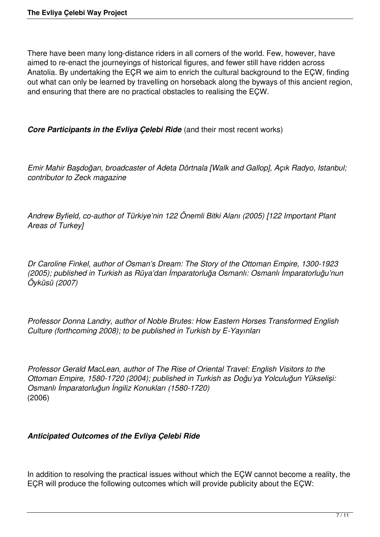There have been many long-distance riders in all corners of the world. Few, however, have aimed to re-enact the journeyings of historical figures, and fewer still have ridden across Anatolia. By undertaking the EÇR we aim to enrich the cultural background to the EÇW, finding out what can only be learned by travelling on horseback along the byways of this ancient region, and ensuring that there are no practical obstacles to realising the EÇW.

**Core Participants in the Evliya Celebi Ride** (and their most recent works)

*Emir Mahir Başdoğan, broadcaster of Adeta Dörtnala [Walk and Gallop], Açık Radyo, Istanbul; contributor to Zeck magazine*

*Andrew Byfield, co-author of Türkiye'nin 122 Önemli Bitki Alanı (2005) [122 Important Plant Areas of Turkey]*

*Dr Caroline Finkel, author of Osman's Dream: The Story of the Ottoman Empire, 1300-1923 (2005); published in Turkish as Rüya'dan İmparatorluğa Osmanlı: Osmanlı İmparatorluğu'nun Öyküsü (2007)*

*Professor Donna Landry, author of Noble Brutes: How Eastern Horses Transformed English Culture (forthcoming 2008); to be published in Turkish by E-Yayınları*

*Professor Gerald MacLean, author of The Rise of Oriental Travel: English Visitors to the Ottoman Empire, 1580-1720 (2004); published in Turkish as Doğu'ya Yolculuğun Yükselişi: Osmanlı İmparatorluğun İngiliz Konukları (1580-1720)* (2006)

# *Anticipated Outcomes of the Evliya Çelebi Ride*

In addition to resolving the practical issues without which the EÇW cannot become a reality, the EÇR will produce the following outcomes which will provide publicity about the EÇW: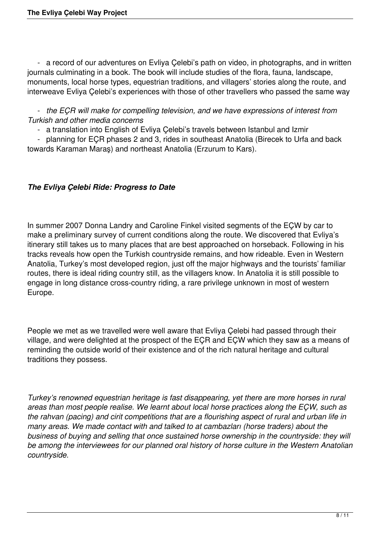- a record of our adventures on Evliya Çelebi's path on video, in photographs, and in written journals culminating in a book. The book will include studies of the flora, fauna, landscape, monuments, local horse types, equestrian traditions, and villagers' stories along the route, and interweave Evliya Çelebi's experiences with those of other travellers who passed the same way

 - *the EÇR will make for compelling television, and we have expressions of interest from Turkish and other media concerns*

- a translation into English of Evliya Çelebi's travels between Istanbul and Izmir

 - planning for EÇR phases 2 and 3, rides in southeast Anatolia (Birecek to Urfa and back towards Karaman Maraş) and northeast Anatolia (Erzurum to Kars).

# *The Evliya Çelebi Ride: Progress to Date*

In summer 2007 Donna Landry and Caroline Finkel visited segments of the EÇW by car to make a preliminary survey of current conditions along the route. We discovered that Evliya's itinerary still takes us to many places that are best approached on horseback. Following in his tracks reveals how open the Turkish countryside remains, and how rideable. Even in Western Anatolia, Turkey's most developed region, just off the major highways and the tourists' familiar routes, there is ideal riding country still, as the villagers know. In Anatolia it is still possible to engage in long distance cross-country riding, a rare privilege unknown in most of western Europe.

People we met as we travelled were well aware that Evliya Çelebi had passed through their village, and were delighted at the prospect of the EÇR and EÇW which they saw as a means of reminding the outside world of their existence and of the rich natural heritage and cultural traditions they possess.

*Turkey's renowned equestrian heritage is fast disappearing, yet there are more horses in rural areas than most people realise. We learnt about local horse practices along the EÇW, such as the rahvan (pacing) and cirit competitions that are a flourishing aspect of rural and urban life in many areas. We made contact with and talked to at cambazları (horse traders) about the business of buying and selling that once sustained horse ownership in the countryside: they will be among the interviewees for our planned oral history of horse culture in the Western Anatolian countryside.*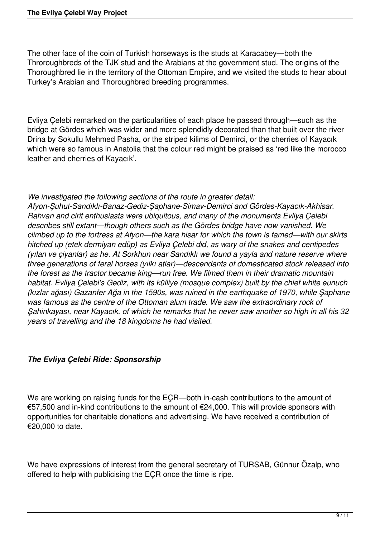The other face of the coin of Turkish horseways is the studs at Karacabey—both the Throroughbreds of the TJK stud and the Arabians at the government stud. The origins of the Thoroughbred lie in the territory of the Ottoman Empire, and we visited the studs to hear about Turkey's Arabian and Thoroughbred breeding programmes.

Evliya Çelebi remarked on the particularities of each place he passed through—such as the bridge at Gördes which was wider and more splendidly decorated than that built over the river Drina by Sokullu Mehmed Pasha, or the striped kilims of Demirci, or the cherries of Kayacık which were so famous in Anatolia that the colour red might be praised as 'red like the morocco leather and cherries of Kayacık'.

#### *We investigated the following sections of the route in greater detail:*

*Afyon-Şuhut-Sandıklı-Banaz-Gediz-Şaphane-Simav-Demirci and Gördes-Kayacık-Akhisar. Rahvan and cirit enthusiasts were ubiquitous, and many of the monuments Evliya Çelebi describes still extant—though others such as the Gördes bridge have now vanished. We climbed up to the fortress at Afyon—the kara hisar for which the town is famed—with our skirts hitched up (etek dermiyan edüp) as Evliya Çelebi did, as wary of the snakes and centipedes (yılan ve çiyanlar) as he. At Sorkhun near Sandıklı we found a yayla and nature reserve where three generations of feral horses (yılkı atlar)—descendants of domesticated stock released into the forest as the tractor became king—run free. We filmed them in their dramatic mountain habitat. Evliya Çelebi's Gediz, with its külliye (mosque complex) built by the chief white eunuch (kızlar ağası) Gazanfer Ağa in the 1590s, was ruined in the earthquake of 1970, while Şaphane was famous as the centre of the Ottoman alum trade. We saw the extraordinary rock of Şahinkayası, near Kayacık, of which he remarks that he never saw another so high in all his 32 years of travelling and the 18 kingdoms he had visited.*

# *The Evliya Çelebi Ride: Sponsorship*

We are working on raising funds for the EÇR—both in-cash contributions to the amount of €57,500 and in-kind contributions to the amount of €24,000. This will provide sponsors with opportunities for charitable donations and advertising. We have received a contribution of €20,000 to date.

We have expressions of interest from the general secretary of TURSAB, Günnur Özalp, who offered to help with publicising the EÇR once the time is ripe.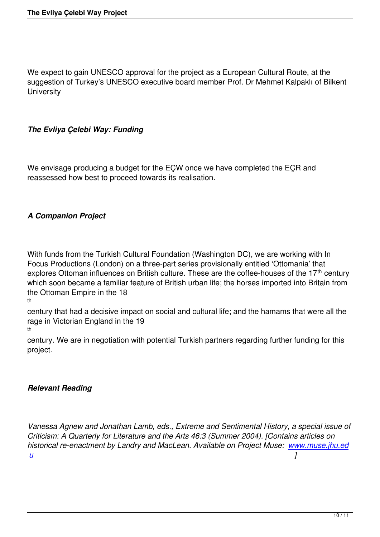We expect to gain UNESCO approval for the project as a European Cultural Route, at the suggestion of Turkey's UNESCO executive board member Prof. Dr Mehmet Kalpaklı of Bilkent **University** 

#### *The Evliya Çelebi Way: Funding*

We envisage producing a budget for the EÇW once we have completed the EÇR and reassessed how best to proceed towards its realisation.

# *A Companion Project*

With funds from the Turkish Cultural Foundation (Washington DC), we are working with In Focus Productions (London) on a three-part series provisionally entitled 'Ottomania' that explores Ottoman influences on British culture. These are the coffee-houses of the 17<sup>th</sup> century which soon became a familiar feature of British urban life; the horses imported into Britain from the Ottoman Empire in the 18

th

century that had a decisive impact on social and cultural life; and the hamams that were all the rage in Victorian England in the 19 th

century. We are in negotiation with potential Turkish partners regarding further funding for this project.

#### *Relevant Reading*

*Vanessa Agnew and Jonathan Lamb, eds., Extreme and Sentimental History, a special issue of Criticism: A Quarterly for Literature and the Arts 46:3 (Summer 2004). [Contains articles on historical re-enactment by Landry and MacLean. Available on Project Muse: www.muse.jhu.ed u ]*